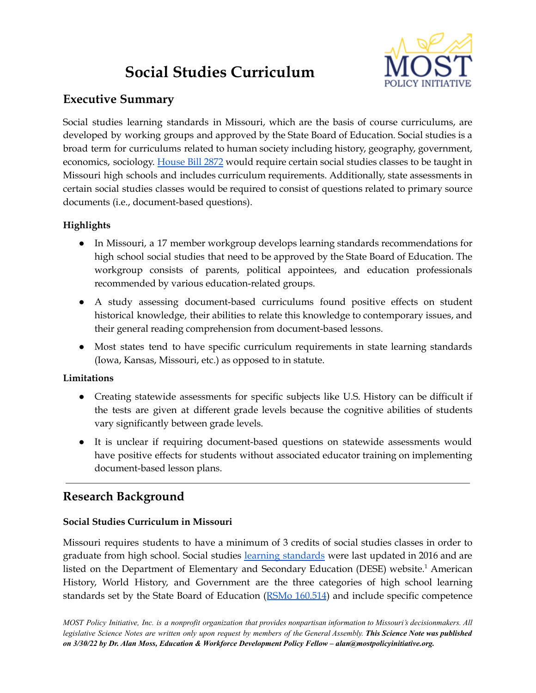# **Social Studies Curriculum**



## **Executive Summary**

Social studies learning standards in Missouri, which are the basis of course curriculums, are developed by working groups and approved by the State Board of Education. Social studies is a broad term for curriculums related to human society including history, geography, government, economics, sociology. [House](https://www.house.mo.gov/Bill.aspx?bill=HB2872&year=2022&code=R) Bill 2872 would require certain social studies classes to be taught in Missouri high schools and includes curriculum requirements. Additionally, state assessments in certain social studies classes would be required to consist of questions related to primary source documents (i.e., document-based questions).

## **Highlights**

- In Missouri, a 17 member workgroup develops learning standards recommendations for high school social studies that need to be approved by the State Board of Education. The workgroup consists of parents, political appointees, and education professionals recommended by various education-related groups.
- A study assessing document-based curriculums found positive effects on student historical knowledge, their abilities to relate this knowledge to contemporary issues, and their general reading comprehension from document-based lessons.
- Most states tend to have specific curriculum requirements in state learning standards (Iowa, Kansas, Missouri, etc.) as opposed to in statute.

### **Limitations**

- Creating statewide assessments for specific subjects like U.S. History can be difficult if the tests are given at different grade levels because the cognitive abilities of students vary significantly between grade levels.
- It is unclear if requiring document-based questions on statewide assessments would have positive effects for students without associated educator training on implementing document-based lesson plans.

# **Research Background**

### **Social Studies Curriculum in Missouri**

Missouri requires students to have a minimum of 3 credits of social studies classes in order to graduate from high school. Social studies learning [standards](https://dese.mo.gov/media/pdf/curr-mls-standards-ss-6-12-sboe-2016) were last updated in 2016 and are listed on the Department of Elementary and Secondary Education (DESE) website. <sup>1</sup> American History, World History, and Government are the three categories of high school learning standards set by the State Board of Education (RSMo [160.514](https://revisor.mo.gov/main/OneSection.aspx?section=160.526)) and include specific competence

MOST Policy Initiative, Inc. is a nonprofit organization that provides nonpartisan information to Missouri's decisionmakers. All legislative Science Notes are written only upon request by members of the General Assembly. This Science Note was published *on 3/30/22 by Dr. Alan Moss, Education & Workforce Development Policy Fellow – alan@mostpolicyinitiative.org.*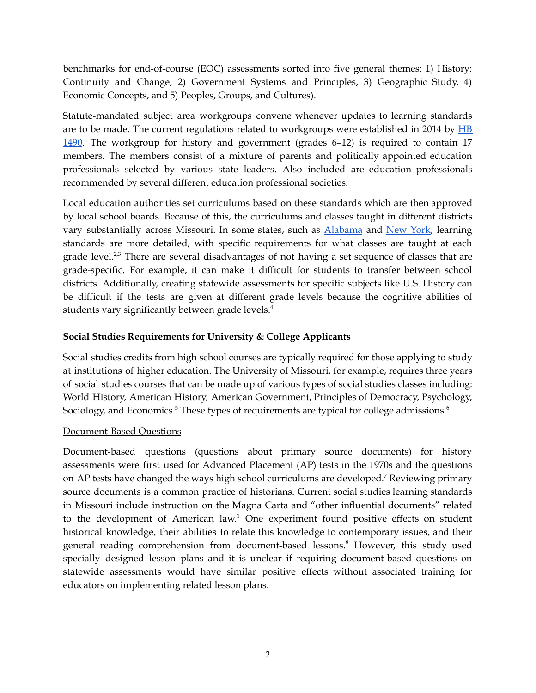benchmarks for end-of-course (EOC) assessments sorted into five general themes: 1) History: Continuity and Change, 2) Government Systems and Principles, 3) Geographic Study, 4) Economic Concepts, and 5) Peoples, Groups, and Cultures).

Statute-mandated subject area workgroups convene whenever updates to learning standards are to be made. The current regulations related to workgroups were established in 2014 by  $\overline{HB}$  $\overline{HB}$  $\overline{HB}$ [1490.](https://www.house.mo.gov/billtracking/bills141/hlrbillspdf/4476L.16T.pdf) The workgroup for history and government (grades 6–12) is required to contain 17 members. The members consist of a mixture of parents and politically appointed education professionals selected by various state leaders. Also included are education professionals recommended by several different education professional societies.

Local education authorities set curriculums based on these standards which are then approved by local school boards. Because of this, the curriculums and classes taught in different districts vary substantially across Missouri. In some states, such as [Alabama](https://alex.state.al.us/browseSS.php) and [New](http://www.nysed.gov/common/nysed/files/programs/curriculum-instruction/framework-9-12-with-2017-updates.pdf) York, learning standards are more detailed, with specific requirements for what classes are taught at each grade level.<sup>2,3</sup> There are several disadvantages of not having a set sequence of classes that are grade-specific. For example, it can make it difficult for students to transfer between school districts. Additionally, creating statewide assessments for specific subjects like U.S. History can be difficult if the tests are given at different grade levels because the cognitive abilities of students vary significantly between grade levels. 4

#### **Social Studies Requirements for University & College Applicants**

Social studies credits from high school courses are typically required for those applying to study at institutions of higher education. The University of Missouri, for example, requires three years of social studies courses that can be made up of various types of social studies classes including: World History, American History, American Government, Principles of Democracy, Psychology, Sociology, and Economics.<sup>5</sup> These types of requirements are typical for college admissions. $^6$ 

#### Document-Based Questions

Document-based questions (questions about primary source documents) for history assessments were first used for Advanced Placement (AP) tests in the 1970s and the questions on AP tests have changed the ways high school curriculums are developed. <sup>7</sup> Reviewing primary source documents is a common practice of historians. Current social studies learning standards in Missouri include instruction on the Magna Carta and "other influential documents" related to the development of American law. <sup>1</sup> One experiment found positive effects on student historical knowledge, their abilities to relate this knowledge to contemporary issues, and their general reading comprehension from document-based lessons. <sup>8</sup> However, this study used specially designed lesson plans and it is unclear if requiring document-based questions on statewide assessments would have similar positive effects without associated training for educators on implementing related lesson plans.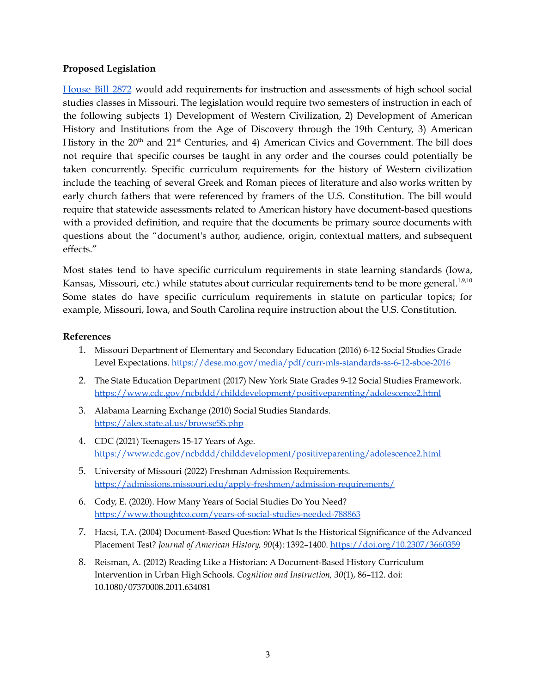#### **Proposed Legislation**

[House](https://www.house.mo.gov/Bill.aspx?bill=HB2872&year=2022&code=R) Bill 2872 would add requirements for instruction and assessments of high school social studies classes in Missouri. The legislation would require two semesters of instruction in each of the following subjects 1) Development of Western Civilization, 2) Development of American History and Institutions from the Age of Discovery through the 19th Century, 3) American History in the 20<sup>th</sup> and 21<sup>st</sup> Centuries, and 4) American Civics and Government. The bill does not require that specific courses be taught in any order and the courses could potentially be taken concurrently. Specific curriculum requirements for the history of Western civilization include the teaching of several Greek and Roman pieces of literature and also works written by early church fathers that were referenced by framers of the U.S. Constitution. The bill would require that statewide assessments related to American history have document-based questions with a provided definition, and require that the documents be primary source documents with questions about the "document's author, audience, origin, contextual matters, and subsequent effects."

Most states tend to have specific curriculum requirements in state learning standards (Iowa, Kansas, Missouri, etc.) while statutes about curricular requirements tend to be more general. $^{1,9,10}$ Some states do have specific curriculum requirements in statute on particular topics; for example, Missouri, Iowa, and South Carolina require instruction about the U.S. Constitution.

#### **References**

- 1. Missouri Department of Elementary and Secondary Education (2016) 6-12 Social Studies Grade Level Expectations. <https://dese.mo.gov/media/pdf/curr-mls-standards-ss-6-12-sboe-2016>
- 2. The State Education Department (2017) New York State Grades 9-12 Social Studies Framework. <https://www.cdc.gov/ncbddd/childdevelopment/positiveparenting/adolescence2.html>
- 3. Alabama Learning Exchange (2010) Social Studies Standards. <https://alex.state.al.us/browseSS.php>
- 4. CDC (2021) Teenagers 15-17 Years of Age. <https://www.cdc.gov/ncbddd/childdevelopment/positiveparenting/adolescence2.html>
- 5. University of Missouri (2022) Freshman Admission Requirements. <https://admissions.missouri.edu/apply-freshmen/admission-requirements/>
- 6. Cody, E. (2020). How Many Years of Social Studies Do You Need? <https://www.thoughtco.com/years-of-social-studies-needed-788863>
- 7. Hacsi, T.A. (2004) Document-Based Question: What Is the Historical Significance of the Advanced Placement Test? *Journal of American History, 90*(4): 1392–1400. <https://doi.org/10.2307/3660359>
- 8. Reisman, A. (2012) Reading Like a Historian: A Document-Based History Curriculum Intervention in Urban High Schools. *Cognition and Instruction, 30*(1), 86–112. doi: 10.1080/07370008.2011.634081